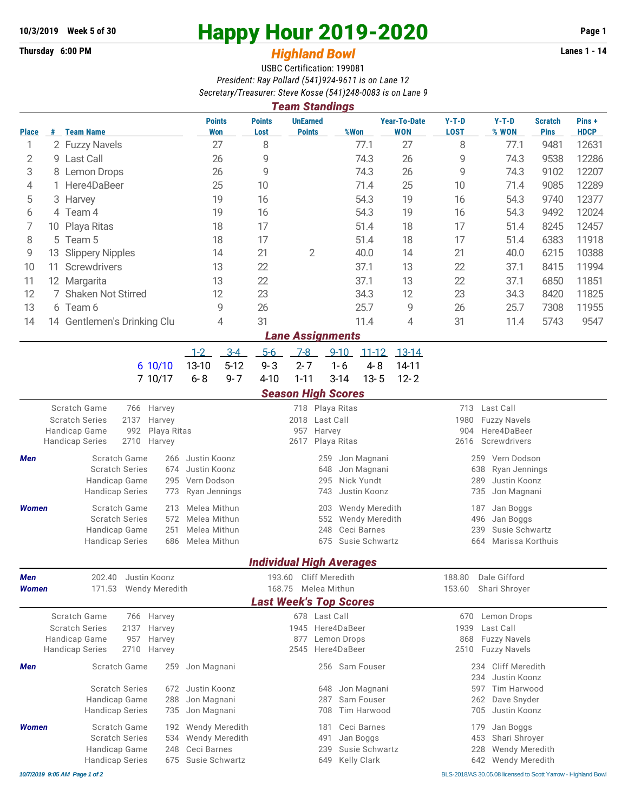## **Thursday 6:00 PM** *Highland Bowl* **Lanes 1 - 14**

## **10/3/2019 Week 5 of 30 Happy Hour 2019-2020 Page 1**

## USBC Certification: 199081 *President: Ray Pollard (541)924-9611 is on Lane 12 Secretary/Treasurer: Steve Kosse (541)248-0083 is on Lane 9*

| <b>Team Standings</b>                   |                               |                                                       |                |                |                              |                     |                                 |                                         |                 |                                                |                                           |                                      |                                    |                               |                      |  |  |  |  |
|-----------------------------------------|-------------------------------|-------------------------------------------------------|----------------|----------------|------------------------------|---------------------|---------------------------------|-----------------------------------------|-----------------|------------------------------------------------|-------------------------------------------|--------------------------------------|------------------------------------|-------------------------------|----------------------|--|--|--|--|
| <b>Place</b>                            |                               | # Team Name                                           |                |                | <b>Points</b><br>Won         |                     | <b>Points</b><br>Lost           | <b>UnEarned</b><br><b>Points</b>        |                 | %Won                                           | <b>Year-To-Date</b><br><b>WON</b>         | $Y-T-D$<br><b>LOST</b>               | $Y-T-D$<br>% WON                   | <b>Scratch</b><br><b>Pins</b> | Pins+<br><b>HDCP</b> |  |  |  |  |
| 1                                       |                               | 2 Fuzzy Navels                                        |                |                |                              | 27                  | 8                               |                                         |                 | 77.1                                           | 27                                        | 8                                    | 77.1                               | 9481                          | 12631                |  |  |  |  |
| 2                                       |                               | 9 Last Call                                           |                |                |                              | 26                  | 9                               |                                         |                 | 74.3                                           | 26                                        | 9                                    | 74.3                               | 9538                          | 12286                |  |  |  |  |
| 3                                       |                               | 8 Lemon Drops                                         |                |                |                              | 26                  | 9                               |                                         |                 | 74.3                                           | 26                                        | 9                                    | 74.3                               | 9102                          | 12207                |  |  |  |  |
| 4                                       |                               | 1 Here4DaBeer                                         |                |                |                              | 25                  | 10                              |                                         |                 | 71.4                                           | 25                                        | 10                                   | 71.4                               | 9085                          | 12289                |  |  |  |  |
| 5                                       |                               | 3 Harvey                                              |                |                |                              | 19                  | 16                              |                                         |                 | 54.3                                           | 19                                        | 16                                   | 54.3                               | 9740                          | 12377                |  |  |  |  |
| 6                                       |                               | 4 Team 4                                              |                |                |                              | 19                  | 16                              |                                         |                 | 54.3                                           | 19                                        | 16                                   | 54.3                               | 9492                          | 12024                |  |  |  |  |
| 7                                       | 10 Playa Ritas                |                                                       |                |                | 18                           | 17                  |                                 |                                         | 51.4            | 18                                             | 17                                        | 51.4                                 | 8245                               | 12457                         |                      |  |  |  |  |
| 8                                       | 5 Team 5                      |                                                       |                |                |                              | 18                  | 17                              |                                         |                 | 51.4                                           | 18                                        | 17                                   | 51.4                               | 6383                          | 11918                |  |  |  |  |
| 9                                       | <b>Slippery Nipples</b><br>13 |                                                       |                |                |                              | 14                  | 21                              | $\mathbf{2}$                            |                 | 40.0                                           | 14                                        | 21                                   | 40.0                               | 6215                          | 10388                |  |  |  |  |
| 10                                      | Screwdrivers<br>11            |                                                       |                |                |                              | 13                  | 22                              |                                         |                 | 37.1                                           | 13                                        | 22                                   | 37.1                               | 8415                          | 11994                |  |  |  |  |
| 11                                      | 12 Margarita                  |                                                       |                |                |                              | 13                  | 22                              |                                         |                 | 37.1                                           | 13                                        | 22                                   | 37.1                               | 6850                          | 11851                |  |  |  |  |
| 12                                      | 7 Shaken Not Stirred          |                                                       |                |                |                              | 12                  | 23                              |                                         |                 | 34.3                                           | 12                                        | 23                                   | 34.3                               | 8420                          | 11825                |  |  |  |  |
| 13                                      | 6 Team 6                      |                                                       |                |                |                              | 9                   | 26                              |                                         |                 | 25.7                                           | 9                                         | 26                                   | 25.7                               | 7308                          | 11955                |  |  |  |  |
| 14                                      |                               | 14 Gentlemen's Drinking Clu                           |                |                |                              | 4                   | 31                              |                                         |                 | 11.4                                           | 4                                         | 31                                   | 11.4                               | 5743                          | 9547                 |  |  |  |  |
|                                         |                               |                                                       |                |                |                              |                     |                                 | <b>Lane Assignments</b>                 |                 |                                                |                                           |                                      |                                    |                               |                      |  |  |  |  |
|                                         |                               |                                                       |                |                | $1 - 2$                      | $3 - 4$             | $5-6$                           | $7-8$                                   | $9 - 10$        | $11 - 12$                                      | $13-14$                                   |                                      |                                    |                               |                      |  |  |  |  |
|                                         |                               |                                                       |                | 6 10/10        | 13-10                        | $5-12$              | $9 - 3$                         | $2 - 7$                                 | $1 - 6$         | $4 - 8$                                        | 14-11                                     |                                      |                                    |                               |                      |  |  |  |  |
|                                         |                               |                                                       |                | 7 10/17        | $6 - 8$                      | $9 - 7$             | $4 - 10$                        | $1 - 11$                                | $3-14$          | $13 - 5$                                       | $12 - 2$                                  |                                      |                                    |                               |                      |  |  |  |  |
|                                         |                               |                                                       |                |                |                              |                     |                                 | <b>Season High Scores</b>               |                 |                                                |                                           |                                      |                                    |                               |                      |  |  |  |  |
| Scratch Game<br>766 Harvey              |                               |                                                       |                |                |                              |                     |                                 |                                         | 718 Playa Ritas |                                                |                                           | 713 Last Call                        |                                    |                               |                      |  |  |  |  |
| 2137<br><b>Scratch Series</b><br>Harvey |                               |                                                       |                |                |                              | Last Call<br>2018   |                                 |                                         |                 |                                                |                                           |                                      | 1980<br><b>Fuzzy Navels</b>        |                               |                      |  |  |  |  |
|                                         |                               | 992<br>Handicap Game<br>Playa Ritas<br>2710<br>Harvey |                |                |                              |                     |                                 | 957                                     | Harvey          |                                                |                                           |                                      | Here4DaBeer<br>904                 |                               |                      |  |  |  |  |
|                                         |                               | <b>Handicap Series</b>                                |                |                |                              | Playa Ritas<br>2617 |                                 |                                         |                 |                                                | Screwdrivers<br>2616                      |                                      |                                    |                               |                      |  |  |  |  |
| Men                                     |                               | Scratch Game<br>266                                   |                |                | Justin Koonz                 |                     |                                 |                                         | 259             | Jon Magnani                                    |                                           |                                      | Vern Dodson<br>259                 |                               |                      |  |  |  |  |
|                                         |                               | <b>Scratch Series</b>                                 |                | 674            | Justin Koonz                 |                     |                                 |                                         | 648             | Jon Magnani                                    |                                           |                                      | 638<br>Ryan Jennings<br>289        |                               |                      |  |  |  |  |
|                                         |                               | Handicap Game<br>295<br><b>Handicap Series</b><br>773 |                |                | Vern Dodson<br>Ryan Jennings |                     |                                 |                                         | 295<br>743      | Nick Yundt<br>Justin Koonz                     |                                           |                                      | Justin Koonz<br>Jon Magnani<br>735 |                               |                      |  |  |  |  |
|                                         |                               |                                                       |                |                |                              |                     |                                 |                                         |                 |                                                |                                           |                                      |                                    |                               |                      |  |  |  |  |
| <b>Women</b>                            |                               | Scratch Game<br>213<br><b>Scratch Series</b><br>572   |                |                | Melea Mithun<br>Melea Mithun |                     |                                 |                                         | 203<br>552      | <b>Wendy Meredith</b><br><b>Wendy Meredith</b> |                                           | Jan Boggs<br>187<br>496<br>Jan Boggs |                                    |                               |                      |  |  |  |  |
|                                         |                               | 251<br>Handicap Game                                  |                |                | Melea Mithun                 |                     |                                 |                                         | 248             | Ceci Barnes                                    |                                           |                                      | Susie Schwartz<br>239              |                               |                      |  |  |  |  |
|                                         |                               | <b>Handicap Series</b><br>686                         |                |                | Melea Mithun                 |                     |                                 |                                         | 675             | Susie Schwartz                                 |                                           |                                      | Marissa Korthuis<br>664            |                               |                      |  |  |  |  |
|                                         |                               |                                                       |                |                |                              |                     | <b>Individual High Averages</b> |                                         |                 |                                                |                                           |                                      |                                    |                               |                      |  |  |  |  |
| <b>Men</b>                              |                               | 202.40                                                |                | Justin Koonz   |                              |                     | 193.60                          |                                         | Cliff Meredith  |                                                |                                           | 188.80                               | Dale Gifford                       |                               |                      |  |  |  |  |
| Women                                   |                               | 171.53                                                | Wendy Meredith |                | 168.75                       |                     | Melea Mithun                    |                                         |                 | 153.60                                         | Shari Shroyer                             |                                      |                                    |                               |                      |  |  |  |  |
|                                         |                               |                                                       |                |                |                              |                     |                                 | <b>Last Week's Top Scores</b>           |                 |                                                |                                           |                                      |                                    |                               |                      |  |  |  |  |
|                                         |                               | Scratch Game                                          |                | 766 Harvey     |                              |                     |                                 |                                         | 678 Last Call   |                                                |                                           | 670                                  | Lemon Drops                        |                               |                      |  |  |  |  |
|                                         |                               | <b>Scratch Series</b><br>2137<br>Harvey               |                |                |                              |                     | 1945 Here4DaBeer                |                                         |                 |                                                |                                           | 1939<br>Last Call                    |                                    |                               |                      |  |  |  |  |
|                                         |                               | Handicap Game<br>957<br>Harvey                        |                |                |                              | Lemon Drops<br>877  |                                 |                                         |                 | 868<br><b>Fuzzy Navels</b>                     |                                           |                                      |                                    |                               |                      |  |  |  |  |
|                                         |                               | <b>Handicap Series</b>                                | 2710           | Harvey         |                              |                     | Here4DaBeer<br>2545             |                                         |                 |                                                |                                           | <b>Fuzzy Navels</b><br>2510          |                                    |                               |                      |  |  |  |  |
| Men                                     |                               | Scratch Game                                          |                | 259            | Jon Magnani                  |                     |                                 |                                         |                 | 256 Sam Fouser                                 |                                           |                                      | Cliff Meredith<br>234              |                               |                      |  |  |  |  |
|                                         |                               |                                                       |                |                |                              |                     |                                 |                                         |                 |                                                | 234<br>Justin Koonz<br>597<br>Tim Harwood |                                      |                                    |                               |                      |  |  |  |  |
|                                         |                               | <b>Scratch Series</b><br>672<br>Handicap Game<br>288  |                |                | Justin Koonz<br>Jon Magnani  |                     |                                 | Jon Magnani<br>648<br>Sam Fouser<br>287 |                 |                                                | Dave Snyder<br>262                        |                                      |                                    |                               |                      |  |  |  |  |
|                                         |                               | <b>Handicap Series</b><br>735                         |                | Jon Magnani    |                              |                     | Tim Harwood<br>708              |                                         |                 |                                                | 705<br>Justin Koonz                       |                                      |                                    |                               |                      |  |  |  |  |
| <b>Women</b>                            |                               | Scratch Game<br>192                                   |                | Wendy Meredith |                              |                     |                                 | Ceci Barnes<br>181                      |                 |                                                | Jan Boggs<br>179                          |                                      |                                    |                               |                      |  |  |  |  |
|                                         |                               | <b>Scratch Series</b><br>534                          |                | Wendy Meredith |                              |                     | 491<br>Jan Boggs                |                                         |                 |                                                |                                           | 453<br>Shari Shroyer                 |                                    |                               |                      |  |  |  |  |
|                                         |                               | Handicap Game<br>248                                  |                | Ceci Barnes    |                              |                     | Susie Schwartz<br>239           |                                         |                 |                                                | 228<br>Wendy Meredith                     |                                      |                                    |                               |                      |  |  |  |  |
|                                         |                               | <b>Handicap Series</b>                                |                |                | 675 Susie Schwartz           |                     | 649 Kelly Clark                 |                                         |                 |                                                | 642 Wendy Meredith                        |                                      |                                    |                               |                      |  |  |  |  |